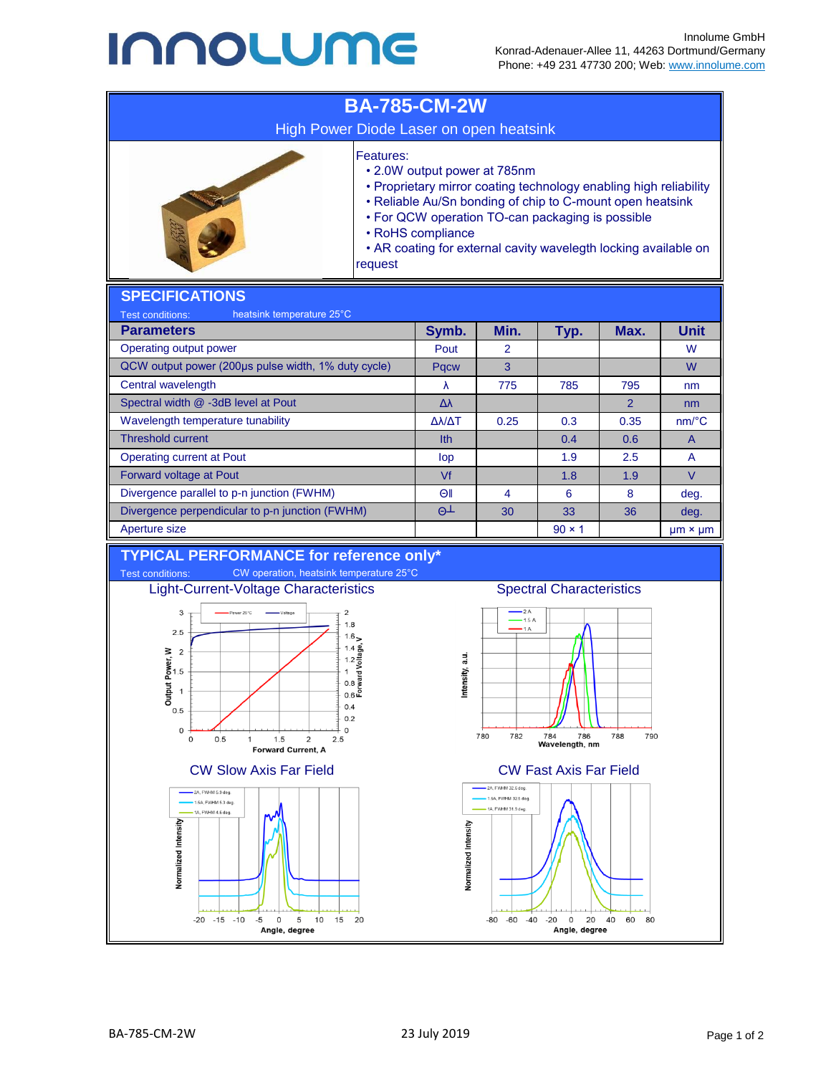## **INNOLUME**



Normalized Intensity

 $-20 - 15 - 10$ 

 $-5$  $\Omega$ 5 10 15  $20$ 

Angle, degree

**Vormalized Intensity** 

 $-80 - 60$ 

 $-40$  $-20$  $\circ$  20 40

Angle, degree

60  $80$